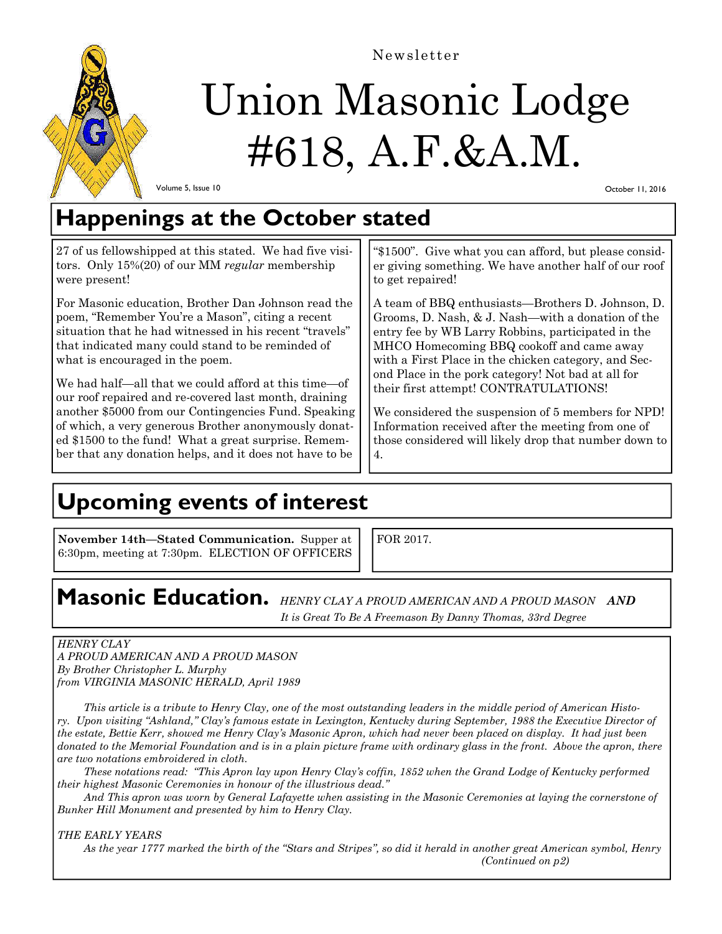

# Union Masonic Lodge #618, A.F.&A.M.

Newsletter

Volume 5, Issue 10

October 11, 2016

# **Happenings at the October stated**

27 of us fellowshipped at this stated. We had five visitors. Only 15%(20) of our MM *regular* membership were present!

For Masonic education, Brother Dan Johnson read the poem, "Remember You're a Mason", citing a recent situation that he had witnessed in his recent "travels" that indicated many could stand to be reminded of what is encouraged in the poem.

We had half—all that we could afford at this time—of our roof repaired and re-covered last month, draining another \$5000 from our Contingencies Fund. Speaking of which, a very generous Brother anonymously donated \$1500 to the fund! What a great surprise. Remember that any donation helps, and it does not have to be

"\$1500". Give what you can afford, but please consider giving something. We have another half of our roof to get repaired!

A team of BBQ enthusiasts—Brothers D. Johnson, D. Grooms, D. Nash, & J. Nash—with a donation of the entry fee by WB Larry Robbins, participated in the MHCO Homecoming BBQ cookoff and came away with a First Place in the chicken category, and Second Place in the pork category! Not bad at all for their first attempt! CONTRATULATIONS!

We considered the suspension of 5 members for NPD! Information received after the meeting from one of those considered will likely drop that number down to 4.

# **Upcoming events of interest**

**November 14th—Stated Communication.** Supper at 6:30pm, meeting at 7:30pm. ELECTION OF OFFICERS FOR 2017.

**Masonic Education.** *HENRY CLAY A PROUD AMERICAN AND A PROUD MASON AND It is Great To Be A Freemason By Danny Thomas, 33rd Degree* 

## *HENRY CLAY*

*A PROUD AMERICAN AND A PROUD MASON By Brother Christopher L. Murphy from VIRGINIA MASONIC HERALD, April 1989* 

*This article is a tribute to Henry Clay, one of the most outstanding leaders in the middle period of American History. Upon visiting "Ashland," Clay's famous estate in Lexington, Kentucky during September, 1988 the Executive Director of the estate, Bettie Kerr, showed me Henry Clay's Masonic Apron, which had never been placed on display. It had just been donated to the Memorial Foundation and is in a plain picture frame with ordinary glass in the front. Above the apron, there are two notations embroidered in cloth.* 

 *These notations read: "This Apron lay upon Henry Clay's coffin, 1852 when the Grand Lodge of Kentucky performed their highest Masonic Ceremonies in honour of the illustrious dead."* 

 *And This apron was worn by General Lafayette when assisting in the Masonic Ceremonies at laying the cornerstone of Bunker Hill Monument and presented by him to Henry Clay.* 

#### *THE EARLY YEARS*

*As the year 1777 marked the birth of the "Stars and Stripes", so did it herald in another great American symbol, Henry (Continued on p2)*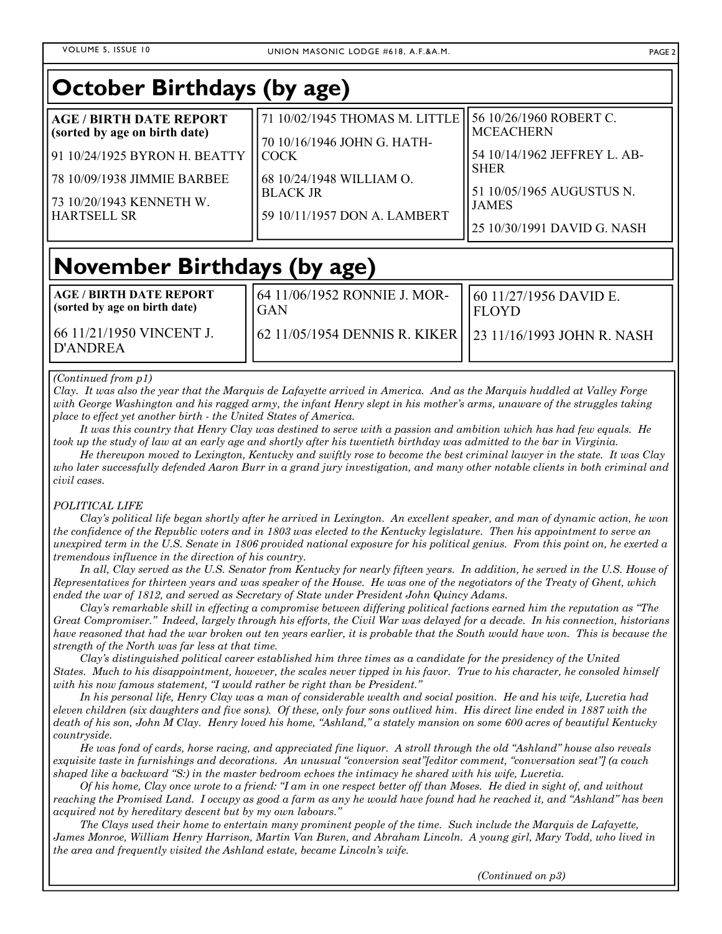| October Birthdays (by age)                                                                                                                                                         |                                                                                                                                                             |                                                                                                                                                                        |
|------------------------------------------------------------------------------------------------------------------------------------------------------------------------------------|-------------------------------------------------------------------------------------------------------------------------------------------------------------|------------------------------------------------------------------------------------------------------------------------------------------------------------------------|
| <b>AGE / BIRTH DATE REPORT</b><br>(sorted by age on birth date)<br>91 10/24/1925 BYRON H. BEATTY<br>178 10/09/1938 JIMMIE BARBEE<br>73 10/20/1943 KENNETH W.<br><b>HARTSELL SR</b> | 71 10/02/1945 THOMAS M. LITTLE<br>70 10/16/1946 JOHN G. HATH-<br><b>COCK</b><br>68 10/24/1948 WILLIAM O.<br><b>BLACK JR</b><br>59 10/11/1957 DON A. LAMBERT | 56 10/26/1960 ROBERT C.<br><b>MCEACHERN</b><br>54 10/14/1962 JEFFREY L. AB-<br><b>SHER</b><br>51 10/05/1965 AUGUSTUS N.<br><b>JAMES</b><br>25 10/30/1991 DAVID G. NASH |
| November Birthdays (by age)<br>64 11/06/1952 RONNIE J. MOR-<br><b>AGE / BIRTH DATE REPORT</b><br>$6011/27/1956$ DAVID F                                                            |                                                                                                                                                             |                                                                                                                                                                        |

**(sorted by age on birth date)** 

64 11/06/1952 RONNIE J. MOR-GAN

60 11/27/1956 DAVID E.

66 11/21/1950 VINCENT J. D'ANDREA

62 11/05/1954 DENNIS R. KIKER

FLOYD

23 11/16/1993 JOHN R. NASH

*(Continued from p1)* 

*Clay. It was also the year that the Marquis de Lafayette arrived in America. And as the Marquis huddled at Valley Forge with George Washington and his ragged army, the infant Henry slept in his mother's arms, unaware of the struggles taking place to effect yet another birth - the United States of America.* 

*It was this country that Henry Clay was destined to serve with a passion and ambition which has had few equals. He took up the study of law at an early age and shortly after his twentieth birthday was admitted to the bar in Virginia.* 

*He thereupon moved to Lexington, Kentucky and swiftly rose to become the best criminal lawyer in the state. It was Clay who later successfully defended Aaron Burr in a grand jury investigation, and many other notable clients in both criminal and civil cases.* 

## *POLITICAL LIFE*

*Clay's political life began shortly after he arrived in Lexington. An excellent speaker, and man of dynamic action, he won the confidence of the Republic voters and in 1803 was elected to the Kentucky legislature. Then his appointment to serve an unexpired term in the U.S. Senate in 1806 provided national exposure for his political genius. From this point on, he exerted a tremendous influence in the direction of his country.* 

In all, Clay served as the U.S. Senator from Kentucky for nearly fifteen years. In addition, he served in the U.S. House of *Representatives for thirteen years and was speaker of the House. He was one of the negotiators of the Treaty of Ghent, which ended the war of 1812, and served as Secretary of State under President John Quincy Adams.* 

*Clay's remarkable skill in effecting a compromise between differing political factions earned him the reputation as "The Great Compromiser." Indeed, largely through his efforts, the Civil War was delayed for a decade. In his connection, historians have reasoned that had the war broken out ten years earlier, it is probable that the South would have won. This is because the strength of the North was far less at that time.* 

*Clay's distinguished political career established him three times as a candidate for the presidency of the United States. Much to his disappointment, however, the scales never tipped in his favor. True to his character, he consoled himself with his now famous statement, "I would rather be right than be President."* 

In his personal life, Henry Clay was a man of considerable wealth and social position. He and his wife, Lucretia had *eleven children (six daughters and five sons). Of these, only four sons outlived him. His direct line ended in 1887 with the death of his son, John M Clay. Henry loved his home, "Ashland," a stately mansion on some 600 acres of beautiful Kentucky countryside.* 

*He was fond of cards, horse racing, and appreciated fine liquor. A stroll through the old "Ashland" house also reveals exquisite taste in furnishings and decorations. An unusual "conversion seat"[editor comment, "conversation seat"] (a couch shaped like a backward "S:) in the master bedroom echoes the intimacy he shared with his wife, Lucretia.* 

*Of his home, Clay once wrote to a friend: "I am in one respect better off than Moses. He died in sight of, and without reaching the Promised Land. I occupy as good a farm as any he would have found had he reached it, and "Ashland" has been acquired not by hereditary descent but by my own labours."* 

*The Clays used their home to entertain many prominent people of the time. Such include the Marquis de Lafayette, James Monroe, William Henry Harrison, Martin Van Buren, and Abraham Lincoln. A young girl, Mary Todd, who lived in the area and frequently visited the Ashland estate, became Lincoln's wife.* 

 *(Continued on p3)*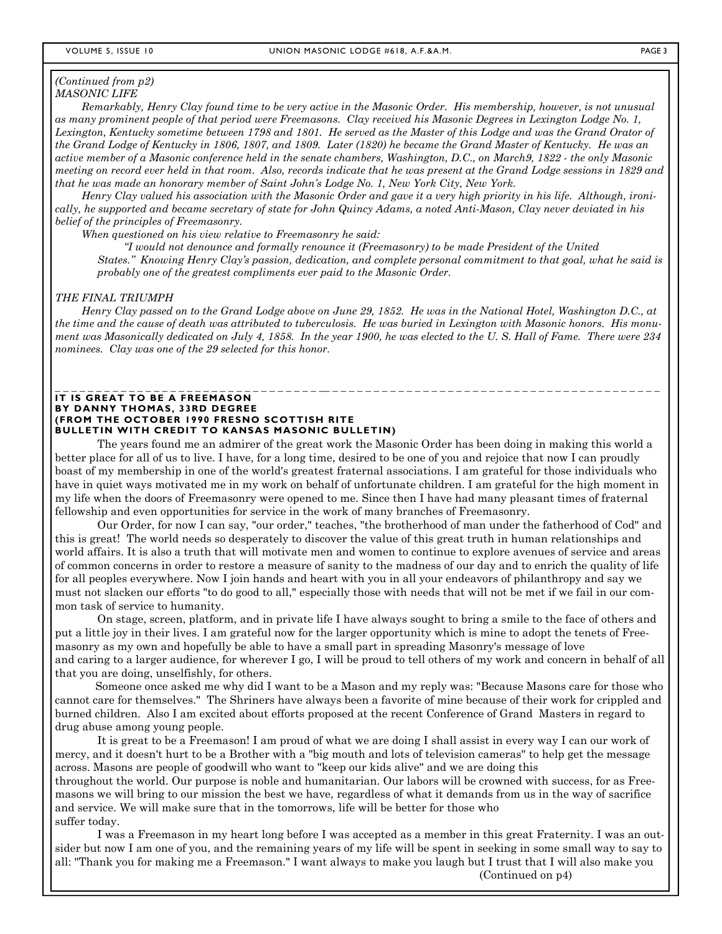#### *(Continued from p2) MASONIC LIFE*

*Remarkably, Henry Clay found time to be very active in the Masonic Order. His membership, however, is not unusual as many prominent people of that period were Freemasons. Clay received his Masonic Degrees in Lexington Lodge No. 1,*  Lexington, Kentucky sometime between 1798 and 1801. He served as the Master of this Lodge and was the Grand Orator of *the Grand Lodge of Kentucky in 1806, 1807, and 1809. Later (1820) he became the Grand Master of Kentucky. He was an active member of a Masonic conference held in the senate chambers, Washington, D.C., on March9, 1822 - the only Masonic meeting on record ever held in that room. Also, records indicate that he was present at the Grand Lodge sessions in 1829 and that he was made an honorary member of Saint John's Lodge No. 1, New York City, New York.* 

*Henry Clay valued his association with the Masonic Order and gave it a very high priority in his life. Although, ironically, he supported and became secretary of state for John Quincy Adams, a noted Anti-Mason, Clay never deviated in his belief of the principles of Freemasonry.* 

*When questioned on his view relative to Freemasonry he said:* 

*"I would not denounce and formally renounce it (Freemasonry) to be made President of the United States." Knowing Henry Clay's passion, dedication, and complete personal commitment to that goal, what he said is probably one of the greatest compliments ever paid to the Masonic Order.* 

#### *THE FINAL TRIUMPH*

*Henry Clay passed on to the Grand Lodge above on June 29, 1852. He was in the National Hotel, Washington D.C., at the time and the cause of death was attributed to tuberculosis. He was buried in Lexington with Masonic honors. His monument was Masonically dedicated on July 4, 1858. In the year 1900, he was elected to the U. S. Hall of Fame. There were 234 nominees. Clay was one of the 29 selected for this honor.* 

*\_ \_ \_ \_ \_ \_ \_ \_ \_ \_ \_ \_ \_ \_ \_ \_ \_ \_ \_ \_ \_ \_ \_ \_ \_ \_ \_ \_ \_ \_ \_ \_ \_\_ \_ \_ \_ \_ \_ \_ \_ \_ \_ \_ \_ \_ \_ \_ \_ \_ \_ \_ \_ \_ \_ \_ \_ \_ \_ \_ \_ \_ \_ \_ \_ \_ \_ \_ \_ \_ \_ \_ \_ \_* 

#### **IT IS GREAT TO BE A FREEMASON BY DANNY THOMAS, 33RD DEGREE (FROM THE OCTOBER 1990 FRESNO SCOTTISH RITE BULLETIN WITH CREDIT TO KANSAS MASONIC BULLETIN)**

The years found me an admirer of the great work the Masonic Order has been doing in making this world a better place for all of us to live. I have, for a long time, desired to be one of you and rejoice that now I can proudly boast of my membership in one of the world's greatest fraternal associations. I am grateful for those individuals who have in quiet ways motivated me in my work on behalf of unfortunate children. I am grateful for the high moment in my life when the doors of Freemasonry were opened to me. Since then I have had many pleasant times of fraternal fellowship and even opportunities for service in the work of many branches of Freemasonry.

Our Order, for now I can say, "our order," teaches, "the brotherhood of man under the fatherhood of Cod" and this is great! The world needs so desperately to discover the value of this great truth in human relationships and world affairs. It is also a truth that will motivate men and women to continue to explore avenues of service and areas of common concerns in order to restore a measure of sanity to the madness of our day and to enrich the quality of life for all peoples everywhere. Now I join hands and heart with you in all your endeavors of philanthropy and say we must not slacken our efforts "to do good to all," especially those with needs that will not be met if we fail in our common task of service to humanity.

 On stage, screen, platform, and in private life I have always sought to bring a smile to the face of others and put a little joy in their lives. I am grateful now for the larger opportunity which is mine to adopt the tenets of Freemasonry as my own and hopefully be able to have a small part in spreading Masonry's message of love and caring to a larger audience, for wherever I go, I will be proud to tell others of my work and concern in behalf of all that you are doing, unselfishly, for others.

 Someone once asked me why did I want to be a Mason and my reply was: "Because Masons care for those who cannot care for themselves." The Shriners have always been a favorite of mine because of their work for crippled and burned children. Also I am excited about efforts proposed at the recent Conference of Grand Masters in regard to drug abuse among young people.

It is great to be a Freemason! I am proud of what we are doing I shall assist in every way I can our work of mercy, and it doesn't hurt to be a Brother with a "big mouth and lots of television cameras" to help get the message across. Masons are people of goodwill who want to "keep our kids alive" and we are doing this

throughout the world. Our purpose is noble and humanitarian. Our labors will be crowned with success, for as Freemasons we will bring to our mission the best we have, regardless of what it demands from us in the way of sacrifice and service. We will make sure that in the tomorrows, life will be better for those who suffer today.

 I was a Freemason in my heart long before I was accepted as a member in this great Fraternity. I was an outsider but now I am one of you, and the remaining years of my life will be spent in seeking in some small way to say to all: "Thank you for making me a Freemason." I want always to make you laugh but I trust that I will also make you

(Continued on p4)